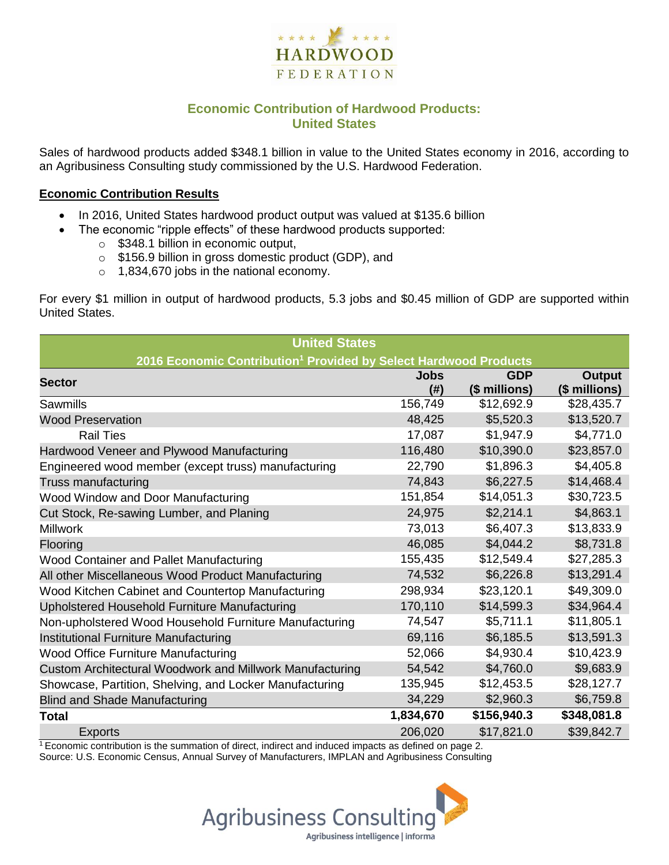

## **Economic Contribution of Hardwood Products: United States**

Sales of hardwood products added \$348.1 billion in value to the United States economy in 2016, according to an Agribusiness Consulting study commissioned by the U.S. Hardwood Federation.

#### **Economic Contribution Results**

- In 2016, United States hardwood product output was valued at \$135.6 billion
	- The economic "ripple effects" of these hardwood products supported:
		- o \$348.1 billion in economic output,
		- o \$156.9 billion in gross domestic product (GDP), and
		- o 1,834,670 jobs in the national economy.

For every \$1 million in output of hardwood products, 5.3 jobs and \$0.45 million of GDP are supported within United States.

| <b>United States</b>                                                         |                    |                             |                                |  |  |  |  |
|------------------------------------------------------------------------------|--------------------|-----------------------------|--------------------------------|--|--|--|--|
| 2016 Economic Contribution <sup>1</sup> Provided by Select Hardwood Products |                    |                             |                                |  |  |  |  |
| <b>Sector</b>                                                                | <b>Jobs</b><br>(#) | <b>GDP</b><br>(\$ millions) | <b>Output</b><br>(\$ millions) |  |  |  |  |
| Sawmills                                                                     | 156,749            | \$12,692.9                  | \$28,435.7                     |  |  |  |  |
| <b>Wood Preservation</b>                                                     | 48,425             | \$5,520.3                   | \$13,520.7                     |  |  |  |  |
| <b>Rail Ties</b>                                                             | 17,087             | \$1,947.9                   | \$4,771.0                      |  |  |  |  |
| Hardwood Veneer and Plywood Manufacturing                                    | 116,480            | \$10,390.0                  | \$23,857.0                     |  |  |  |  |
| Engineered wood member (except truss) manufacturing                          | 22,790             | \$1,896.3                   | \$4,405.8                      |  |  |  |  |
| Truss manufacturing                                                          | 74,843             | \$6,227.5                   | \$14,468.4                     |  |  |  |  |
| Wood Window and Door Manufacturing                                           | 151,854            | \$14,051.3                  | \$30,723.5                     |  |  |  |  |
| Cut Stock, Re-sawing Lumber, and Planing                                     | 24,975             | \$2,214.1                   | \$4,863.1                      |  |  |  |  |
| <b>Millwork</b>                                                              | 73,013             | \$6,407.3                   | \$13,833.9                     |  |  |  |  |
| Flooring                                                                     | 46,085             | \$4,044.2                   | \$8,731.8                      |  |  |  |  |
| Wood Container and Pallet Manufacturing                                      | 155,435            | \$12,549.4                  | \$27,285.3                     |  |  |  |  |
| All other Miscellaneous Wood Product Manufacturing                           | 74,532             | \$6,226.8                   | \$13,291.4                     |  |  |  |  |
| Wood Kitchen Cabinet and Countertop Manufacturing                            | 298,934            | \$23,120.1                  | \$49,309.0                     |  |  |  |  |
| Upholstered Household Furniture Manufacturing                                | 170,110            | \$14,599.3                  | \$34,964.4                     |  |  |  |  |
| Non-upholstered Wood Household Furniture Manufacturing                       | 74,547             | \$5,711.1                   | \$11,805.1                     |  |  |  |  |
| Institutional Furniture Manufacturing                                        | 69,116             | \$6,185.5                   | \$13,591.3                     |  |  |  |  |
| Wood Office Furniture Manufacturing                                          | 52,066             | \$4,930.4                   | \$10,423.9                     |  |  |  |  |
| Custom Architectural Woodwork and Millwork Manufacturing                     | 54,542             | \$4,760.0                   | \$9,683.9                      |  |  |  |  |
| Showcase, Partition, Shelving, and Locker Manufacturing                      | 135,945            | \$12,453.5                  | \$28,127.7                     |  |  |  |  |
| <b>Blind and Shade Manufacturing</b>                                         | 34,229             | \$2,960.3                   | \$6,759.8                      |  |  |  |  |
| <b>Total</b>                                                                 | 1,834,670          | \$156,940.3                 | \$348,081.8                    |  |  |  |  |
| <b>Exports</b>                                                               | 206,020            | \$17,821.0                  | \$39,842.7                     |  |  |  |  |

 $1$ <sup>T</sup> Economic contribution is the summation of direct, indirect and induced impacts as defined on page 2. Source: U.S. Economic Census, Annual Survey of Manufacturers, IMPLAN and Agribusiness Consulting